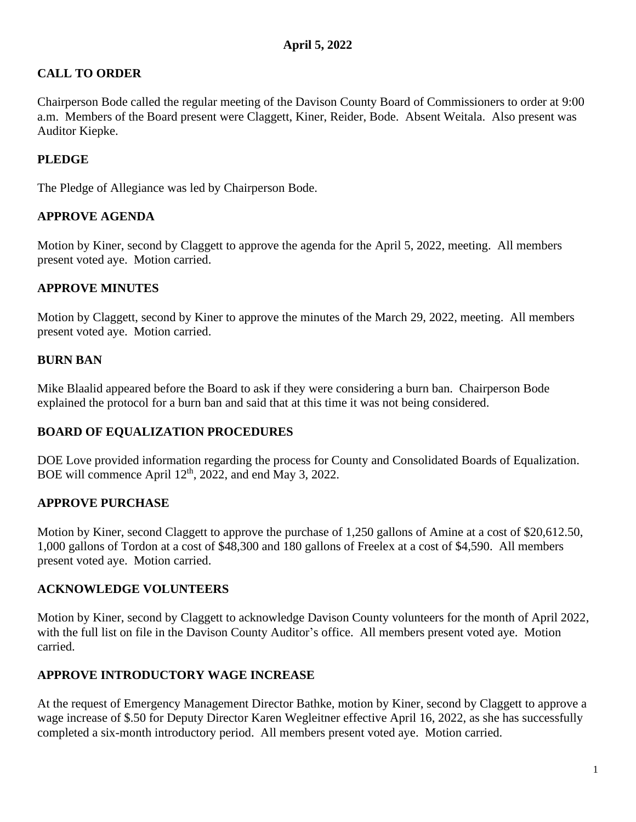# **CALL TO ORDER**

Chairperson Bode called the regular meeting of the Davison County Board of Commissioners to order at 9:00 a.m. Members of the Board present were Claggett, Kiner, Reider, Bode. Absent Weitala. Also present was Auditor Kiepke.

## **PLEDGE**

The Pledge of Allegiance was led by Chairperson Bode.

## **APPROVE AGENDA**

Motion by Kiner, second by Claggett to approve the agenda for the April 5, 2022, meeting. All members present voted aye. Motion carried.

## **APPROVE MINUTES**

Motion by Claggett, second by Kiner to approve the minutes of the March 29, 2022, meeting. All members present voted aye. Motion carried.

## **BURN BAN**

Mike Blaalid appeared before the Board to ask if they were considering a burn ban. Chairperson Bode explained the protocol for a burn ban and said that at this time it was not being considered.

## **BOARD OF EQUALIZATION PROCEDURES**

DOE Love provided information regarding the process for County and Consolidated Boards of Equalization. BOE will commence April  $12<sup>th</sup>$ , 2022, and end May 3, 2022.

## **APPROVE PURCHASE**

Motion by Kiner, second Claggett to approve the purchase of 1,250 gallons of Amine at a cost of \$20,612.50, 1,000 gallons of Tordon at a cost of \$48,300 and 180 gallons of Freelex at a cost of \$4,590. All members present voted aye. Motion carried.

## **ACKNOWLEDGE VOLUNTEERS**

Motion by Kiner, second by Claggett to acknowledge Davison County volunteers for the month of April 2022, with the full list on file in the Davison County Auditor's office. All members present voted aye. Motion carried.

## **APPROVE INTRODUCTORY WAGE INCREASE**

At the request of Emergency Management Director Bathke, motion by Kiner, second by Claggett to approve a wage increase of \$.50 for Deputy Director Karen Wegleitner effective April 16, 2022, as she has successfully completed a six-month introductory period. All members present voted aye. Motion carried.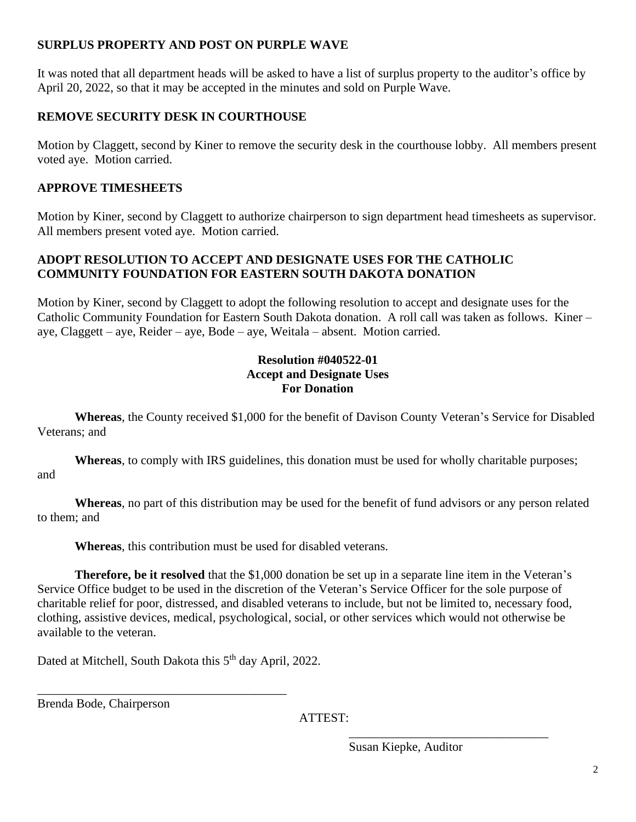## **SURPLUS PROPERTY AND POST ON PURPLE WAVE**

It was noted that all department heads will be asked to have a list of surplus property to the auditor's office by April 20, 2022, so that it may be accepted in the minutes and sold on Purple Wave.

## **REMOVE SECURITY DESK IN COURTHOUSE**

Motion by Claggett, second by Kiner to remove the security desk in the courthouse lobby. All members present voted aye. Motion carried.

## **APPROVE TIMESHEETS**

Motion by Kiner, second by Claggett to authorize chairperson to sign department head timesheets as supervisor. All members present voted aye. Motion carried.

## **ADOPT RESOLUTION TO ACCEPT AND DESIGNATE USES FOR THE CATHOLIC COMMUNITY FOUNDATION FOR EASTERN SOUTH DAKOTA DONATION**

Motion by Kiner, second by Claggett to adopt the following resolution to accept and designate uses for the Catholic Community Foundation for Eastern South Dakota donation. A roll call was taken as follows. Kiner – aye, Claggett – aye, Reider – aye, Bode – aye, Weitala – absent. Motion carried.

## **Resolution #040522-01 Accept and Designate Uses For Donation**

**Whereas**, the County received \$1,000 for the benefit of Davison County Veteran's Service for Disabled Veterans; and

**Whereas**, to comply with IRS guidelines, this donation must be used for wholly charitable purposes; and

**Whereas**, no part of this distribution may be used for the benefit of fund advisors or any person related to them; and

**Whereas**, this contribution must be used for disabled veterans.

**Therefore, be it resolved** that the \$1,000 donation be set up in a separate line item in the Veteran's Service Office budget to be used in the discretion of the Veteran's Service Officer for the sole purpose of charitable relief for poor, distressed, and disabled veterans to include, but not be limited to, necessary food, clothing, assistive devices, medical, psychological, social, or other services which would not otherwise be available to the veteran.

Dated at Mitchell, South Dakota this 5<sup>th</sup> day April, 2022.

\_\_\_\_\_\_\_\_\_\_\_\_\_\_\_\_\_\_\_\_\_\_\_\_\_\_\_\_\_\_\_\_\_\_\_\_\_\_\_\_

Brenda Bode, Chairperson

ATTEST:

Susan Kiepke, Auditor

 $\overline{\phantom{a}}$  , which is a set of the set of the set of the set of the set of the set of the set of the set of the set of the set of the set of the set of the set of the set of the set of the set of the set of the set of th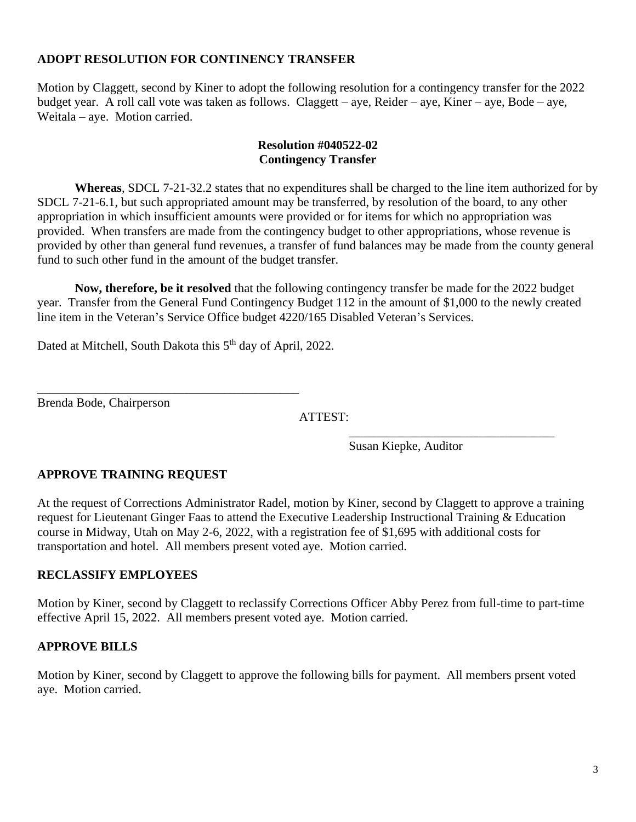#### **ADOPT RESOLUTION FOR CONTINENCY TRANSFER**

Motion by Claggett, second by Kiner to adopt the following resolution for a contingency transfer for the 2022 budget year. A roll call vote was taken as follows. Claggett – aye, Reider – aye, Kiner – aye, Bode – aye, Weitala – aye. Motion carried.

#### **Resolution #040522-02 Contingency Transfer**

**Whereas**, SDCL 7-21-32.2 states that no expenditures shall be charged to the line item authorized for by SDCL 7-21-6.1, but such appropriated amount may be transferred, by resolution of the board, to any other appropriation in which insufficient amounts were provided or for items for which no appropriation was provided. When transfers are made from the contingency budget to other appropriations, whose revenue is provided by other than general fund revenues, a transfer of fund balances may be made from the county general fund to such other fund in the amount of the budget transfer.

**Now, therefore, be it resolved** that the following contingency transfer be made for the 2022 budget year. Transfer from the General Fund Contingency Budget 112 in the amount of \$1,000 to the newly created line item in the Veteran's Service Office budget 4220/165 Disabled Veteran's Services.

Dated at Mitchell, South Dakota this 5<sup>th</sup> day of April, 2022.

\_\_\_\_\_\_\_\_\_\_\_\_\_\_\_\_\_\_\_\_\_\_\_\_\_\_\_\_\_\_\_\_\_\_\_\_\_\_\_\_\_\_

Brenda Bode, Chairperson

ATTEST:

 $\overline{\phantom{a}}$  , we can consider the constraint of the constraint  $\overline{\phantom{a}}$ Susan Kiepke, Auditor

## **APPROVE TRAINING REQUEST**

At the request of Corrections Administrator Radel, motion by Kiner, second by Claggett to approve a training request for Lieutenant Ginger Faas to attend the Executive Leadership Instructional Training & Education course in Midway, Utah on May 2-6, 2022, with a registration fee of \$1,695 with additional costs for transportation and hotel. All members present voted aye. Motion carried.

## **RECLASSIFY EMPLOYEES**

Motion by Kiner, second by Claggett to reclassify Corrections Officer Abby Perez from full-time to part-time effective April 15, 2022. All members present voted aye. Motion carried.

## **APPROVE BILLS**

Motion by Kiner, second by Claggett to approve the following bills for payment. All members prsent voted aye. Motion carried.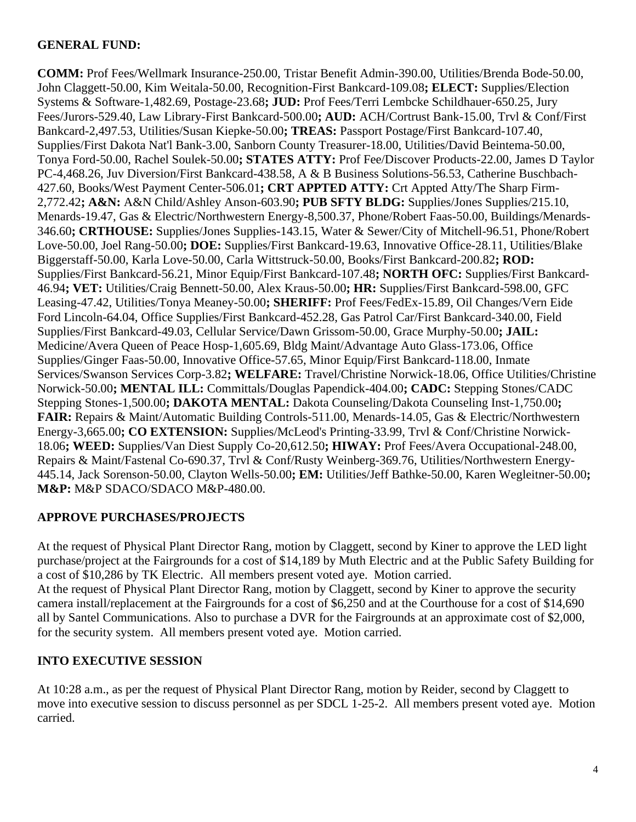## **GENERAL FUND:**

**COMM:** Prof Fees/Wellmark Insurance-250.00, Tristar Benefit Admin-390.00, Utilities/Brenda Bode-50.00, John Claggett-50.00, Kim Weitala-50.00, Recognition-First Bankcard-109.08**; ELECT:** Supplies/Election Systems & Software-1,482.69, Postage-23.68**; JUD:** Prof Fees/Terri Lembcke Schildhauer-650.25, Jury Fees/Jurors-529.40, Law Library-First Bankcard-500.00**; AUD:** ACH/Cortrust Bank-15.00, Trvl & Conf/First Bankcard-2,497.53, Utilities/Susan Kiepke-50.00**; TREAS:** Passport Postage/First Bankcard-107.40, Supplies/First Dakota Nat'l Bank-3.00, Sanborn County Treasurer-18.00, Utilities/David Beintema-50.00, Tonya Ford-50.00, Rachel Soulek-50.00**; STATES ATTY:** Prof Fee/Discover Products-22.00, James D Taylor PC-4,468.26, Juv Diversion/First Bankcard-438.58, A & B Business Solutions-56.53, Catherine Buschbach-427.60, Books/West Payment Center-506.01**; CRT APPTED ATTY:** Crt Appted Atty/The Sharp Firm-2,772.42**; A&N:** A&N Child/Ashley Anson-603.90**; PUB SFTY BLDG:** Supplies/Jones Supplies/215.10, Menards-19.47, Gas & Electric/Northwestern Energy-8,500.37, Phone/Robert Faas-50.00, Buildings/Menards-346.60**; CRTHOUSE:** Supplies/Jones Supplies-143.15, Water & Sewer/City of Mitchell-96.51, Phone/Robert Love-50.00, Joel Rang-50.00**; DOE:** Supplies/First Bankcard-19.63, Innovative Office-28.11, Utilities/Blake Biggerstaff-50.00, Karla Love-50.00, Carla Wittstruck-50.00, Books/First Bankcard-200.82**; ROD:** Supplies/First Bankcard-56.21, Minor Equip/First Bankcard-107.48**; NORTH OFC:** Supplies/First Bankcard-46.94**; VET:** Utilities/Craig Bennett-50.00, Alex Kraus-50.00**; HR:** Supplies/First Bankcard-598.00, GFC Leasing-47.42, Utilities/Tonya Meaney-50.00**; SHERIFF:** Prof Fees/FedEx-15.89, Oil Changes/Vern Eide Ford Lincoln-64.04, Office Supplies/First Bankcard-452.28, Gas Patrol Car/First Bankcard-340.00, Field Supplies/First Bankcard-49.03, Cellular Service/Dawn Grissom-50.00, Grace Murphy-50.00**; JAIL:** Medicine/Avera Queen of Peace Hosp-1,605.69, Bldg Maint/Advantage Auto Glass-173.06, Office Supplies/Ginger Faas-50.00, Innovative Office-57.65, Minor Equip/First Bankcard-118.00, Inmate Services/Swanson Services Corp-3.82**; WELFARE:** Travel/Christine Norwick-18.06, Office Utilities/Christine Norwick-50.00**; MENTAL ILL:** Committals/Douglas Papendick-404.00**; CADC:** Stepping Stones/CADC Stepping Stones-1,500.00**; DAKOTA MENTAL:** Dakota Counseling/Dakota Counseling Inst-1,750.00**; FAIR:** Repairs & Maint/Automatic Building Controls-511.00, Menards-14.05, Gas & Electric/Northwestern Energy-3,665.00**; CO EXTENSION:** Supplies/McLeod's Printing-33.99, Trvl & Conf/Christine Norwick-18.06**; WEED:** Supplies/Van Diest Supply Co-20,612.50**; HIWAY:** Prof Fees/Avera Occupational-248.00, Repairs & Maint/Fastenal Co-690.37, Trvl & Conf/Rusty Weinberg-369.76, Utilities/Northwestern Energy-445.14, Jack Sorenson-50.00, Clayton Wells-50.00**; EM:** Utilities/Jeff Bathke-50.00, Karen Wegleitner-50.00**; M&P:** M&P SDACO/SDACO M&P-480.00.

## **APPROVE PURCHASES/PROJECTS**

At the request of Physical Plant Director Rang, motion by Claggett, second by Kiner to approve the LED light purchase/project at the Fairgrounds for a cost of \$14,189 by Muth Electric and at the Public Safety Building for a cost of \$10,286 by TK Electric. All members present voted aye. Motion carried.

At the request of Physical Plant Director Rang, motion by Claggett, second by Kiner to approve the security camera install/replacement at the Fairgrounds for a cost of \$6,250 and at the Courthouse for a cost of \$14,690 all by Santel Communications. Also to purchase a DVR for the Fairgrounds at an approximate cost of \$2,000, for the security system. All members present voted aye. Motion carried.

## **INTO EXECUTIVE SESSION**

At 10:28 a.m., as per the request of Physical Plant Director Rang, motion by Reider, second by Claggett to move into executive session to discuss personnel as per SDCL 1-25-2. All members present voted aye. Motion carried.